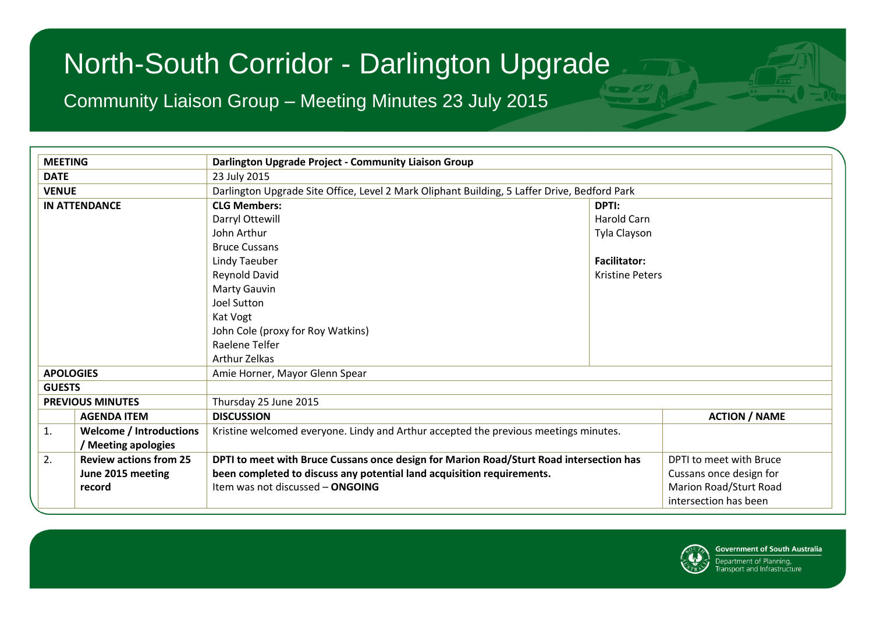Community Liaison Group – Meeting Minutes 23 July 2015

| <b>MEETING</b>   |                                | Darlington Upgrade Project - Community Liaison Group                                         |                        |                         |  |  |
|------------------|--------------------------------|----------------------------------------------------------------------------------------------|------------------------|-------------------------|--|--|
| <b>DATE</b>      |                                | 23 July 2015                                                                                 |                        |                         |  |  |
| <b>VENUE</b>     |                                | Darlington Upgrade Site Office, Level 2 Mark Oliphant Building, 5 Laffer Drive, Bedford Park |                        |                         |  |  |
|                  | <b>IN ATTENDANCE</b>           | <b>CLG Members:</b>                                                                          | DPTI:                  |                         |  |  |
|                  |                                | Darryl Ottewill                                                                              | Harold Carn            |                         |  |  |
|                  |                                | John Arthur                                                                                  | Tyla Clayson           |                         |  |  |
|                  |                                | <b>Bruce Cussans</b>                                                                         |                        |                         |  |  |
|                  |                                | Lindy Taeuber                                                                                | <b>Facilitator:</b>    |                         |  |  |
|                  |                                | Reynold David                                                                                | <b>Kristine Peters</b> |                         |  |  |
|                  |                                | Marty Gauvin                                                                                 |                        |                         |  |  |
|                  |                                | <b>Joel Sutton</b>                                                                           |                        |                         |  |  |
|                  |                                | Kat Vogt                                                                                     |                        |                         |  |  |
|                  |                                | John Cole (proxy for Roy Watkins)                                                            |                        |                         |  |  |
|                  |                                | Raelene Telfer                                                                               |                        |                         |  |  |
|                  |                                | <b>Arthur Zelkas</b>                                                                         |                        |                         |  |  |
| <b>APOLOGIES</b> |                                | Amie Horner, Mayor Glenn Spear                                                               |                        |                         |  |  |
| <b>GUESTS</b>    |                                |                                                                                              |                        |                         |  |  |
|                  | <b>PREVIOUS MINUTES</b>        | Thursday 25 June 2015                                                                        |                        |                         |  |  |
|                  | <b>AGENDA ITEM</b>             | <b>DISCUSSION</b>                                                                            |                        | <b>ACTION / NAME</b>    |  |  |
| 1.               | <b>Welcome / Introductions</b> | Kristine welcomed everyone. Lindy and Arthur accepted the previous meetings minutes.         |                        |                         |  |  |
|                  | / Meeting apologies            |                                                                                              |                        |                         |  |  |
| 2.               | <b>Review actions from 25</b>  | DPTI to meet with Bruce Cussans once design for Marion Road/Sturt Road intersection has      |                        | DPTI to meet with Bruce |  |  |
|                  | June 2015 meeting              | been completed to discuss any potential land acquisition requirements.                       |                        | Cussans once design for |  |  |
|                  | record                         | Item was not discussed - ONGOING                                                             |                        | Marion Road/Sturt Road  |  |  |
|                  |                                |                                                                                              |                        | intersection has been   |  |  |

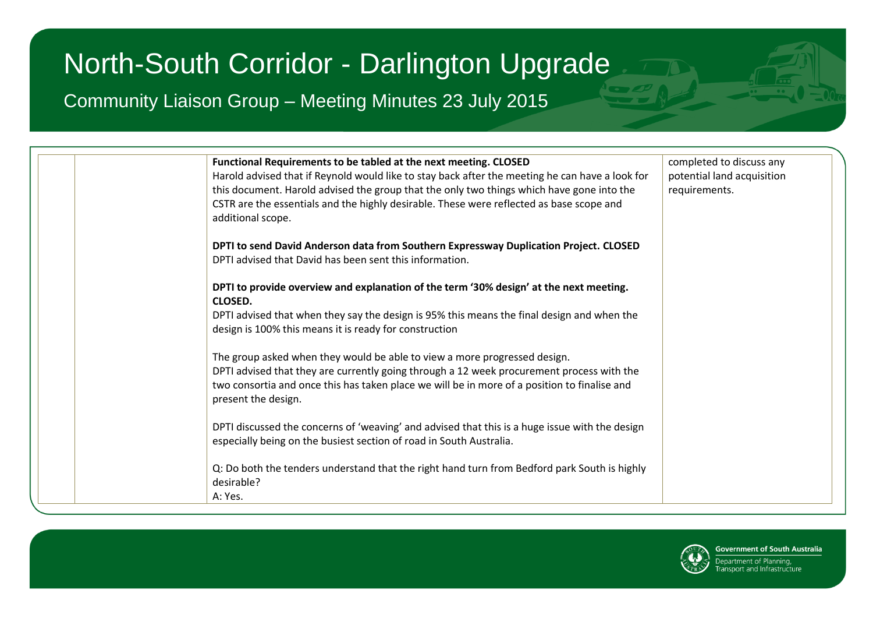Community Liaison Group – Meeting Minutes 23 July 2015



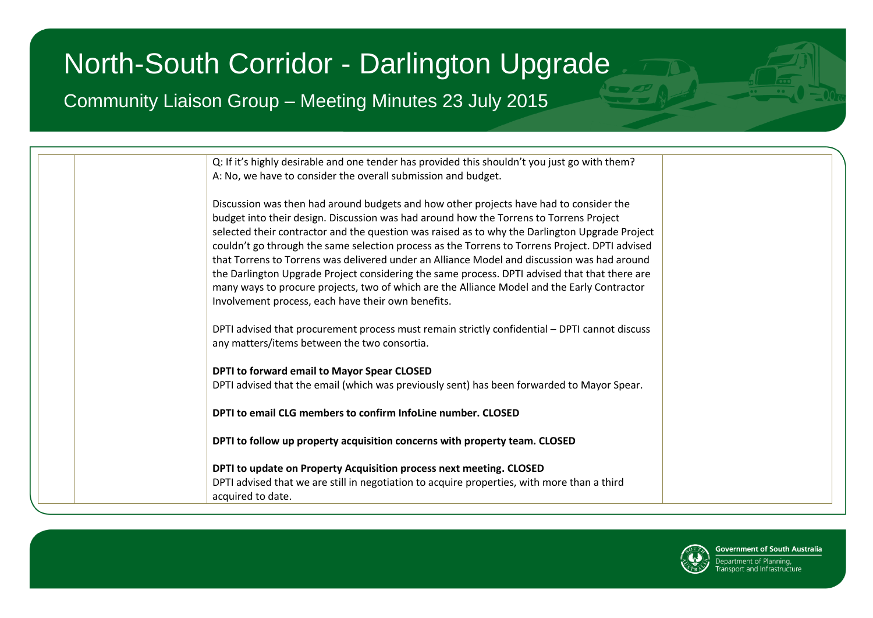Community Liaison Group – Meeting Minutes 23 July 2015

| Q: If it's highly desirable and one tender has provided this shouldn't you just go with them?  |
|------------------------------------------------------------------------------------------------|
| A: No, we have to consider the overall submission and budget.                                  |
|                                                                                                |
| Discussion was then had around budgets and how other projects have had to consider the         |
| budget into their design. Discussion was had around how the Torrens to Torrens Project         |
| selected their contractor and the question was raised as to why the Darlington Upgrade Project |
| couldn't go through the same selection process as the Torrens to Torrens Project. DPTI advised |
| that Torrens to Torrens was delivered under an Alliance Model and discussion was had around    |
| the Darlington Upgrade Project considering the same process. DPTI advised that that there are  |
| many ways to procure projects, two of which are the Alliance Model and the Early Contractor    |
| Involvement process, each have their own benefits.                                             |
|                                                                                                |
| DPTI advised that procurement process must remain strictly confidential - DPTI cannot discuss  |
| any matters/items between the two consortia.                                                   |
|                                                                                                |
| DPTI to forward email to Mayor Spear CLOSED                                                    |
| DPTI advised that the email (which was previously sent) has been forwarded to Mayor Spear.     |
|                                                                                                |
| DPTI to email CLG members to confirm InfoLine number. CLOSED                                   |
|                                                                                                |
| DPTI to follow up property acquisition concerns with property team. CLOSED                     |
|                                                                                                |
| DPTI to update on Property Acquisition process next meeting. CLOSED                            |
| DPTI advised that we are still in negotiation to acquire properties, with more than a third    |
| acquired to date.                                                                              |
|                                                                                                |

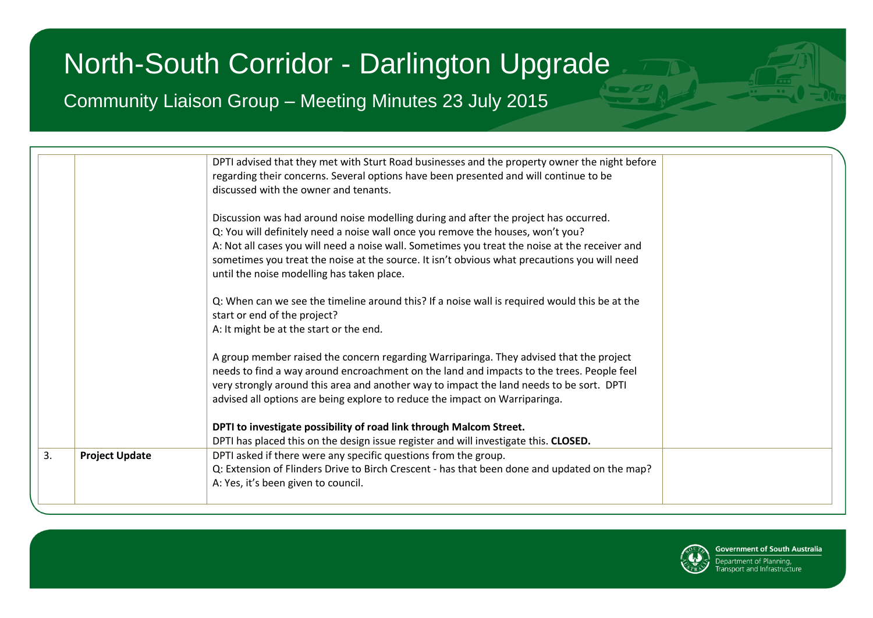Community Liaison Group – Meeting Minutes 23 July 2015

|    |                       | DPTI advised that they met with Sturt Road businesses and the property owner the night before                                                                                                                                                                                                                                                                             |  |
|----|-----------------------|---------------------------------------------------------------------------------------------------------------------------------------------------------------------------------------------------------------------------------------------------------------------------------------------------------------------------------------------------------------------------|--|
|    |                       | regarding their concerns. Several options have been presented and will continue to be                                                                                                                                                                                                                                                                                     |  |
|    |                       | discussed with the owner and tenants.                                                                                                                                                                                                                                                                                                                                     |  |
|    |                       | Discussion was had around noise modelling during and after the project has occurred.<br>Q: You will definitely need a noise wall once you remove the houses, won't you?<br>A: Not all cases you will need a noise wall. Sometimes you treat the noise at the receiver and<br>sometimes you treat the noise at the source. It isn't obvious what precautions you will need |  |
|    |                       | until the noise modelling has taken place.                                                                                                                                                                                                                                                                                                                                |  |
|    |                       | Q: When can we see the timeline around this? If a noise wall is required would this be at the<br>start or end of the project?                                                                                                                                                                                                                                             |  |
|    |                       | A: It might be at the start or the end.                                                                                                                                                                                                                                                                                                                                   |  |
|    |                       | A group member raised the concern regarding Warriparinga. They advised that the project<br>needs to find a way around encroachment on the land and impacts to the trees. People feel                                                                                                                                                                                      |  |
|    |                       | very strongly around this area and another way to impact the land needs to be sort. DPTI<br>advised all options are being explore to reduce the impact on Warriparinga.                                                                                                                                                                                                   |  |
|    |                       | DPTI to investigate possibility of road link through Malcom Street.<br>DPTI has placed this on the design issue register and will investigate this. CLOSED.                                                                                                                                                                                                               |  |
| 3. | <b>Project Update</b> | DPTI asked if there were any specific questions from the group.<br>Q: Extension of Flinders Drive to Birch Crescent - has that been done and updated on the map?<br>A: Yes, it's been given to council.                                                                                                                                                                   |  |

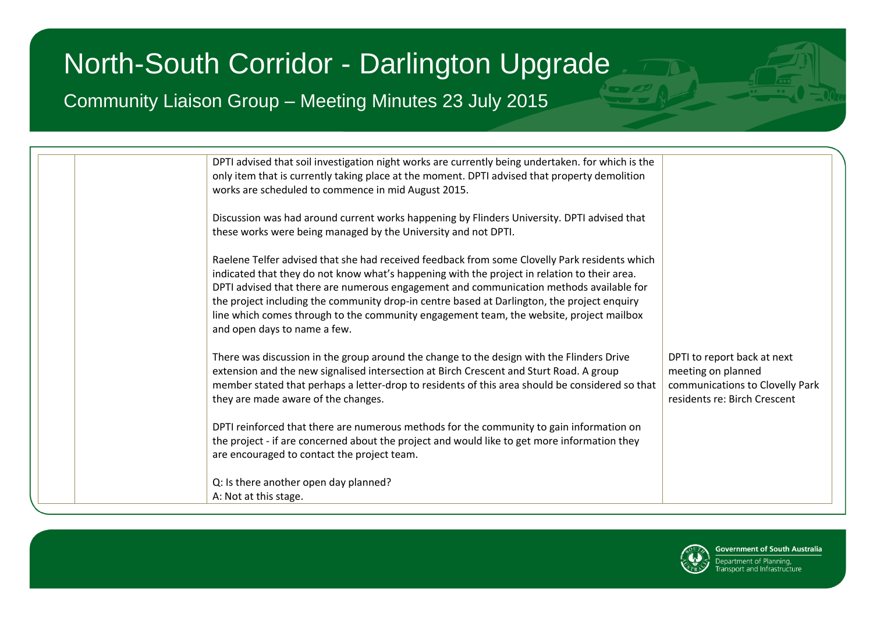Community Liaison Group – Meeting Minutes 23 July 2015

| DPTI advised that soil investigation night works are currently being undertaken. for which is the<br>only item that is currently taking place at the moment. DPTI advised that property demolition<br>works are scheduled to commence in mid August 2015.                                                                                                                                                                                                                                                          |  |
|--------------------------------------------------------------------------------------------------------------------------------------------------------------------------------------------------------------------------------------------------------------------------------------------------------------------------------------------------------------------------------------------------------------------------------------------------------------------------------------------------------------------|--|
| Discussion was had around current works happening by Flinders University. DPTI advised that<br>these works were being managed by the University and not DPTI.                                                                                                                                                                                                                                                                                                                                                      |  |
| Raelene Telfer advised that she had received feedback from some Clovelly Park residents which<br>indicated that they do not know what's happening with the project in relation to their area.<br>DPTI advised that there are numerous engagement and communication methods available for<br>the project including the community drop-in centre based at Darlington, the project enquiry<br>line which comes through to the community engagement team, the website, project mailbox<br>and open days to name a few. |  |
| There was discussion in the group around the change to the design with the Flinders Drive<br>DPTI to report back at next<br>extension and the new signalised intersection at Birch Crescent and Sturt Road. A group<br>meeting on planned<br>member stated that perhaps a letter-drop to residents of this area should be considered so that<br>communications to Clovelly Park<br>residents re: Birch Crescent<br>they are made aware of the changes.                                                             |  |
| DPTI reinforced that there are numerous methods for the community to gain information on<br>the project - if are concerned about the project and would like to get more information they<br>are encouraged to contact the project team.                                                                                                                                                                                                                                                                            |  |
| Q: Is there another open day planned?<br>A: Not at this stage.                                                                                                                                                                                                                                                                                                                                                                                                                                                     |  |

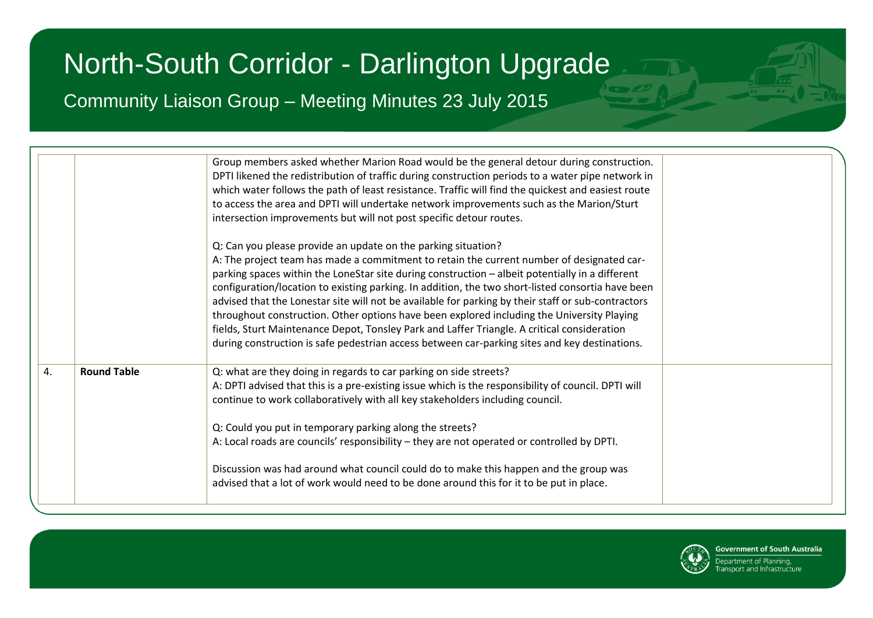Community Liaison Group – Meeting Minutes 23 July 2015

| <b>Round Table</b><br>4. |                                                                                                                                                                                                                                                                                                                                                                                                                                                                                                                                                                                                                                                                                                                                                                        |
|--------------------------|------------------------------------------------------------------------------------------------------------------------------------------------------------------------------------------------------------------------------------------------------------------------------------------------------------------------------------------------------------------------------------------------------------------------------------------------------------------------------------------------------------------------------------------------------------------------------------------------------------------------------------------------------------------------------------------------------------------------------------------------------------------------|
|                          | Group members asked whether Marion Road would be the general detour during construction.<br>DPTI likened the redistribution of traffic during construction periods to a water pipe network in<br>which water follows the path of least resistance. Traffic will find the quickest and easiest route<br>to access the area and DPTI will undertake network improvements such as the Marion/Sturt<br>intersection improvements but will not post specific detour routes.                                                                                                                                                                                                                                                                                                 |
|                          | Q: Can you please provide an update on the parking situation?<br>A: The project team has made a commitment to retain the current number of designated car-<br>parking spaces within the LoneStar site during construction - albeit potentially in a different<br>configuration/location to existing parking. In addition, the two short-listed consortia have been<br>advised that the Lonestar site will not be available for parking by their staff or sub-contractors<br>throughout construction. Other options have been explored including the University Playing<br>fields, Sturt Maintenance Depot, Tonsley Park and Laffer Triangle. A critical consideration<br>during construction is safe pedestrian access between car-parking sites and key destinations. |
|                          | Q: what are they doing in regards to car parking on side streets?<br>A: DPTI advised that this is a pre-existing issue which is the responsibility of council. DPTI will<br>continue to work collaboratively with all key stakeholders including council.<br>Q: Could you put in temporary parking along the streets?<br>A: Local roads are councils' responsibility – they are not operated or controlled by DPTI.<br>Discussion was had around what council could do to make this happen and the group was<br>advised that a lot of work would need to be done around this for it to be put in place.                                                                                                                                                                |